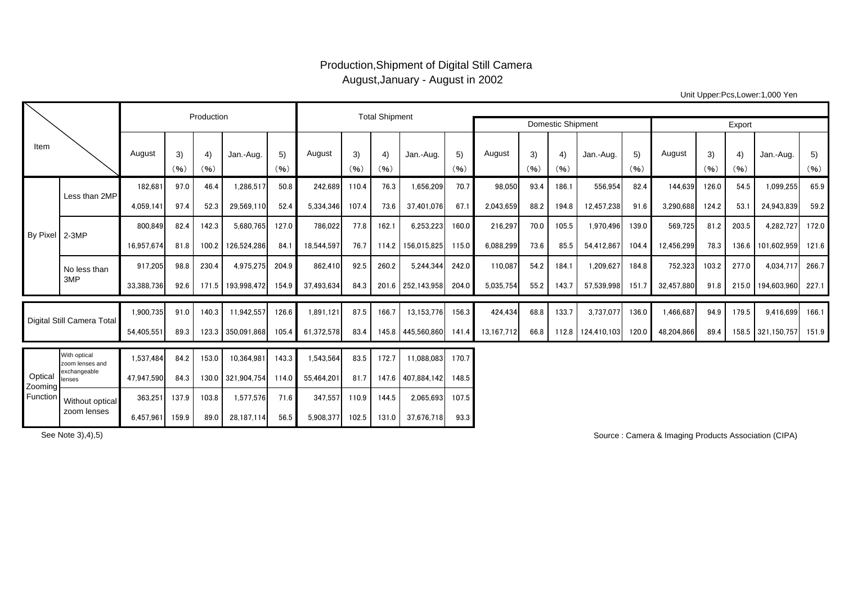## Production,Shipment of Digital Still Camera August,January - August in 2002

Unit Upper:Pcs,Lower:1,000 Yen

|                                |                                 |            | Production |            |                   | <b>Total Shipment</b> |            |            |                          |                          |            |            |            |            |                   |            |            |            |            |                   |            |
|--------------------------------|---------------------------------|------------|------------|------------|-------------------|-----------------------|------------|------------|--------------------------|--------------------------|------------|------------|------------|------------|-------------------|------------|------------|------------|------------|-------------------|------------|
|                                |                                 |            |            |            |                   |                       |            |            |                          | <b>Domestic Shipment</b> | Export     |            |            |            |                   |            |            |            |            |                   |            |
| Item                           |                                 | August     | 3)<br>(96) | 4)<br>(96) | Jan.-Aug.         | 5)<br>(96)            | August     | 3)<br>(96) | $\left(4\right)$<br>(96) | Jan.-Aug.                | 5)<br>(96) | August     | 3)<br>(96) | 4)<br>(96) | Jan.-Aug.         | 5)<br>(96) | August     | 3)<br>(96) | 4)<br>(96) | Jan.-Aug.         | 5)<br>(96) |
| <b>By Pixel</b>                | Less than 2MP                   | 182.681    | 97.0       | 46.4       | 1,286,517         | 50.8                  | 242,689    | 110.4      | 76.3                     | 1,656,209                | 70.7       | 98,050     | 93.4       | 186.1      | 556,954           | 82.4       | 144,639    | 126.0      | 54.5       | 1,099,255         | 65.9       |
|                                |                                 | 4,059,141  | 97.4       | 52.3       | 29,569,110        | 52.4                  | 5,334,346  | 107.4      | 73.6                     | 37,401,076               | 67.1       | 2.043.659  | 88.2       | 194.8      | 12,457,238        | 91.6       | 3,290,688  | 124.2      | 53.1       | 24,943,839        | 59.2       |
|                                | $2-3MP$                         | 800,849    | 82.4       | 142.3      | 5.680.765         | 127.0                 | 786,022    | 77.8       | 162.1                    | 6,253,223                | 160.0      | 216,297    | 70.0       | 105.5      | 1,970,496         | 139.0      | 569,725    | 81.2       | 203.5      | 4,282,727         | 172.0      |
|                                |                                 | 16,957,674 | 81.8       | 100.2      | 126,524,286       | 84.1                  | 18.544.597 | 76.7       |                          | 114.2 156,015,825        | 115.0      | 6.088.299  | 73.6       | 85.5       | 54,412,867        | 104.4      | 12,456,299 | 78.3       | 136.6      | 101.602.959       | 121.6      |
|                                | No less than                    | 917.205    | 98.8       | 230.4      | 4,975,275         | 204.9                 | 862,410    | 92.5       | 260.2                    | 5.244.344                | 242.0      | 110.087    | 54.2       | 184.1      | 1.209.627         | 184.8      | 752,323    | 103.2      | 277.0      | 4,034,717         | 266.7      |
|                                | 3MP                             | 33,388,736 | 92.6       | 171.5      | 193,998,472       | 154.9                 | 37,493,634 | 84.3       |                          | 201.6 252,143,958        | 204.0      | 5,035,754  | 55.2       | 143.7      | 57,539,998        | 151.7      | 32,457,880 | 91.8       | 215.0      | 194,603,960       | 227.1      |
| Digital Still Camera Total     |                                 | 1,900,735  | 91.0       | 140.3      | 11,942,557        | 126.6                 | 1,891,121  | 87.5       | 166.7                    | 13,153,776               | 156.3      | 424,434    | 68.8       | 133.7      | 3,737,077         | 136.0      | A66,687    | 94.9       | 179.5      | 9,416,699         | 166.1      |
|                                |                                 | 54,405,551 | 89.3       |            | 123.3 350,091,868 | 105.4                 | 61,372,578 | 83.4       |                          | 145.8 445.560.860        | 141.4      | 13,167,712 | 66.8       |            | 112.8 124,410,103 | 120.0      | 48,204,866 | 89.4       |            | 158.5 321,150,757 | 151.9      |
| Optical<br>Zooming<br>Function | With optical<br>zoom lenses and | 1,537,484  | 84.2       | 153.0      | 10,364,981        | 143.3                 | 1,543,564  | 83.5       | 172.7                    | 11,088,083               | 170.7      |            |            |            |                   |            |            |            |            |                   |            |
|                                | exchangeable<br>lenses          | 47,947,590 | 84.3       | 130.0      | 321.904.754       | 114.0                 | 55.464.201 | 81.7       |                          | 147.6 407.884.142        | 148.5      |            |            |            |                   |            |            |            |            |                   |            |
|                                | Without optical<br>zoom lenses  | 363.251    | 137.9      | 103.8      | 1,577,576         | 71.6                  | 347.557    | 110.9      | 144.5                    | 2.065.693                | 107.5      |            |            |            |                   |            |            |            |            |                   |            |
|                                |                                 | 6,457,961  | 159.9      | 89.0       | 28,187,114        | 56.5                  | 5,908,377  | 102.5      | 131.0                    | 37,676,718               | 93.3       |            |            |            |                   |            |            |            |            |                   |            |

See Note 3),4),5) Source : Camera & Imaging Products Association (CIPA)